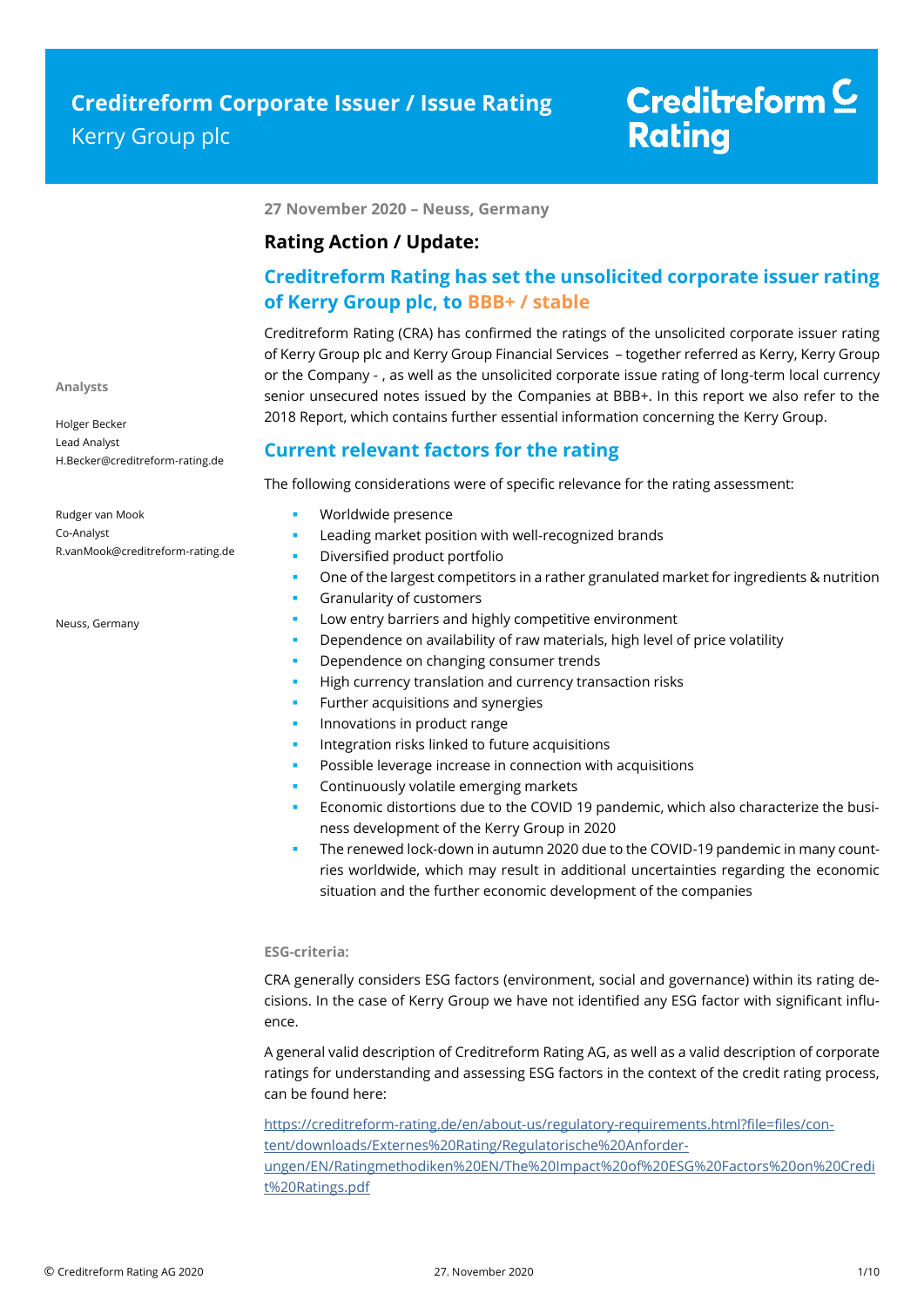**27 November 2020 – Neuss, Germany**

### **Rating Action / Update:**

## **Creditreform Rating has set the unsolicited corporate issuer rating of Kerry Group plc, to BBB+ / stable**

Creditreform Rating (CRA) has confirmed the ratings of the unsolicited corporate issuer rating of Kerry Group plc and Kerry Group Financial Services – together referred as Kerry, Kerry Group or the Company - , as well as the unsolicited corporate issue rating of long-term local currency senior unsecured notes issued by the Companies at BBB+. In this report we also refer to the 2018 Report, which contains further essential information concerning the Kerry Group.

### **Current relevant factors for the rating**

The following considerations were of specific relevance for the rating assessment:

Rudger van Mook Co-Analyst R.vanMook@creditreform-rating.de

H.Becker@creditreform-rating.de

Neuss, Germany

**Analysts**

Holger Becker Lead Analyst

- Worldwide presence
- Leading market position with well-recognized brands
- Diversified product portfolio
- One of the largest competitors in a rather granulated market for ingredients & nutrition
- Granularity of customers
- Low entry barriers and highly competitive environment
- Dependence on availability of raw materials, high level of price volatility
- Dependence on changing consumer trends
- High currency translation and currency transaction risks
- Further acquisitions and synergies
- Innovations in product range
- Integration risks linked to future acquisitions
- Possible leverage increase in connection with acquisitions
- Continuously volatile emerging markets
- Economic distortions due to the COVID 19 pandemic, which also characterize the business development of the Kerry Group in 2020
- The renewed lock-down in autumn 2020 due to the COVID-19 pandemic in many countries worldwide, which may result in additional uncertainties regarding the economic situation and the further economic development of the companies

### **ESG-criteria:**

CRA generally considers ESG factors (environment, social and governance) within its rating decisions. In the case of Kerry Group we have not identified any ESG factor with significant influence.

A general valid description of Creditreform Rating AG, as well as a valid description of corporate ratings for understanding and assessing ESG factors in the context of the credit rating process, can be found here:

https://creditreform-rating.de/en/about-us/regulatory-requirements.html?file=files/content/downloads/Externes%20Rating/Regulatorische%20Anforderungen/EN/Ratingmethodiken%20EN/The%20Impact%20of%20ESG%20Factors%20on%20Credi t%20Ratings.pdf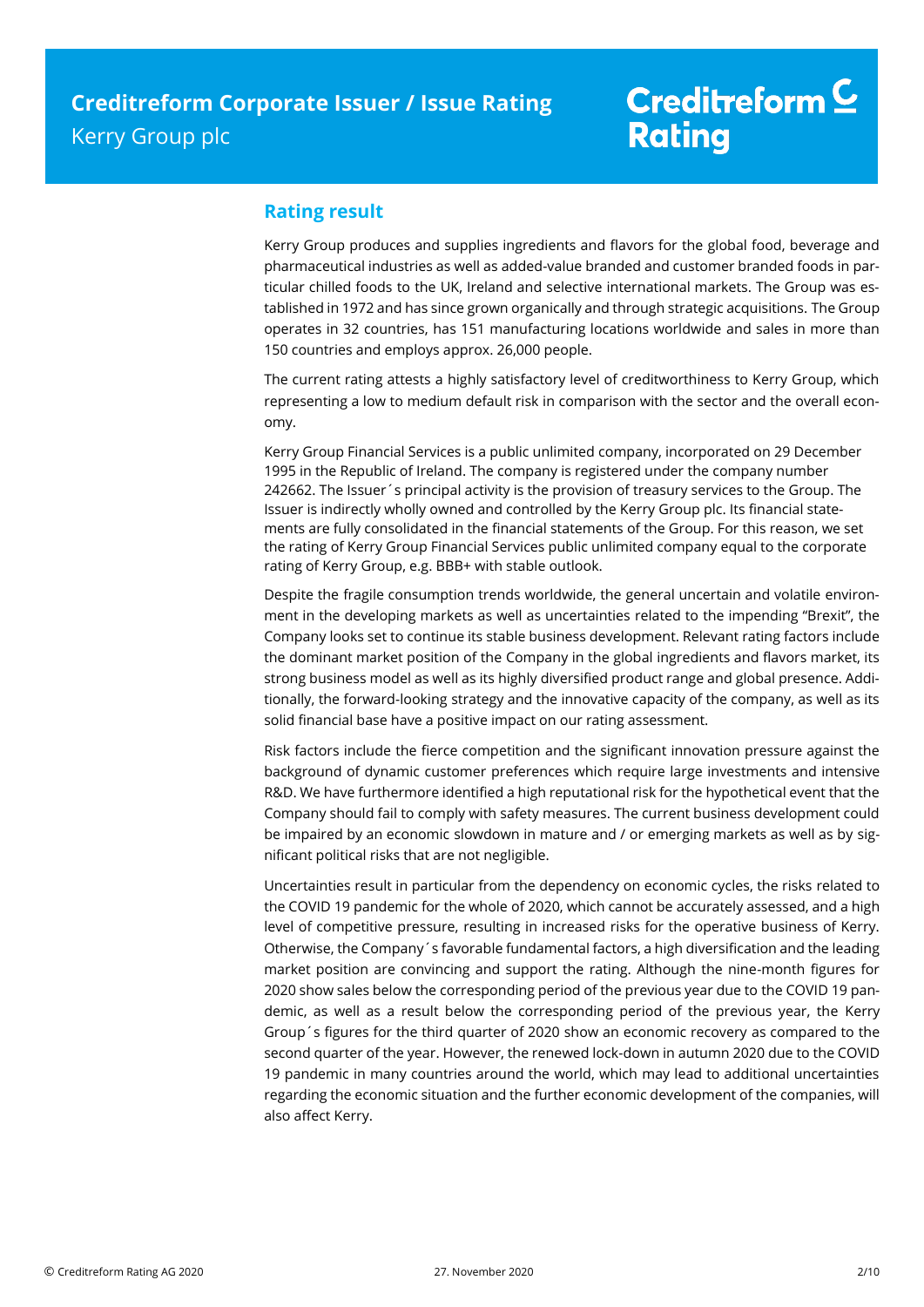## **Rating result**

Kerry Group produces and supplies ingredients and flavors for the global food, beverage and pharmaceutical industries as well as added-value branded and customer branded foods in particular chilled foods to the UK, Ireland and selective international markets. The Group was established in 1972 and has since grown organically and through strategic acquisitions. The Group operates in 32 countries, has 151 manufacturing locations worldwide and sales in more than 150 countries and employs approx. 26,000 people.

The current rating attests a highly satisfactory level of creditworthiness to Kerry Group, which representing a low to medium default risk in comparison with the sector and the overall economy.

Kerry Group Financial Services is a public unlimited company, incorporated on 29 December 1995 in the Republic of Ireland. The company is registered under the company number 242662. The Issuer´s principal activity is the provision of treasury services to the Group. The Issuer is indirectly wholly owned and controlled by the Kerry Group plc. Its financial statements are fully consolidated in the financial statements of the Group. For this reason, we set the rating of Kerry Group Financial Services public unlimited company equal to the corporate rating of Kerry Group, e.g. BBB+ with stable outlook.

Despite the fragile consumption trends worldwide, the general uncertain and volatile environment in the developing markets as well as uncertainties related to the impending "Brexit", the Company looks set to continue its stable business development. Relevant rating factors include the dominant market position of the Company in the global ingredients and flavors market, its strong business model as well as its highly diversified product range and global presence. Additionally, the forward-looking strategy and the innovative capacity of the company, as well as its solid financial base have a positive impact on our rating assessment.

Risk factors include the fierce competition and the significant innovation pressure against the background of dynamic customer preferences which require large investments and intensive R&D. We have furthermore identified a high reputational risk for the hypothetical event that the Company should fail to comply with safety measures. The current business development could be impaired by an economic slowdown in mature and / or emerging markets as well as by significant political risks that are not negligible.

Uncertainties result in particular from the dependency on economic cycles, the risks related to the COVID 19 pandemic for the whole of 2020, which cannot be accurately assessed, and a high level of competitive pressure, resulting in increased risks for the operative business of Kerry. Otherwise, the Company´s favorable fundamental factors, a high diversification and the leading market position are convincing and support the rating. Although the nine-month figures for 2020 show sales below the corresponding period of the previous year due to the COVID 19 pandemic, as well as a result below the corresponding period of the previous year, the Kerry Group´s figures for the third quarter of 2020 show an economic recovery as compared to the second quarter of the year. However, the renewed lock-down in autumn 2020 due to the COVID 19 pandemic in many countries around the world, which may lead to additional uncertainties regarding the economic situation and the further economic development of the companies, will also affect Kerry.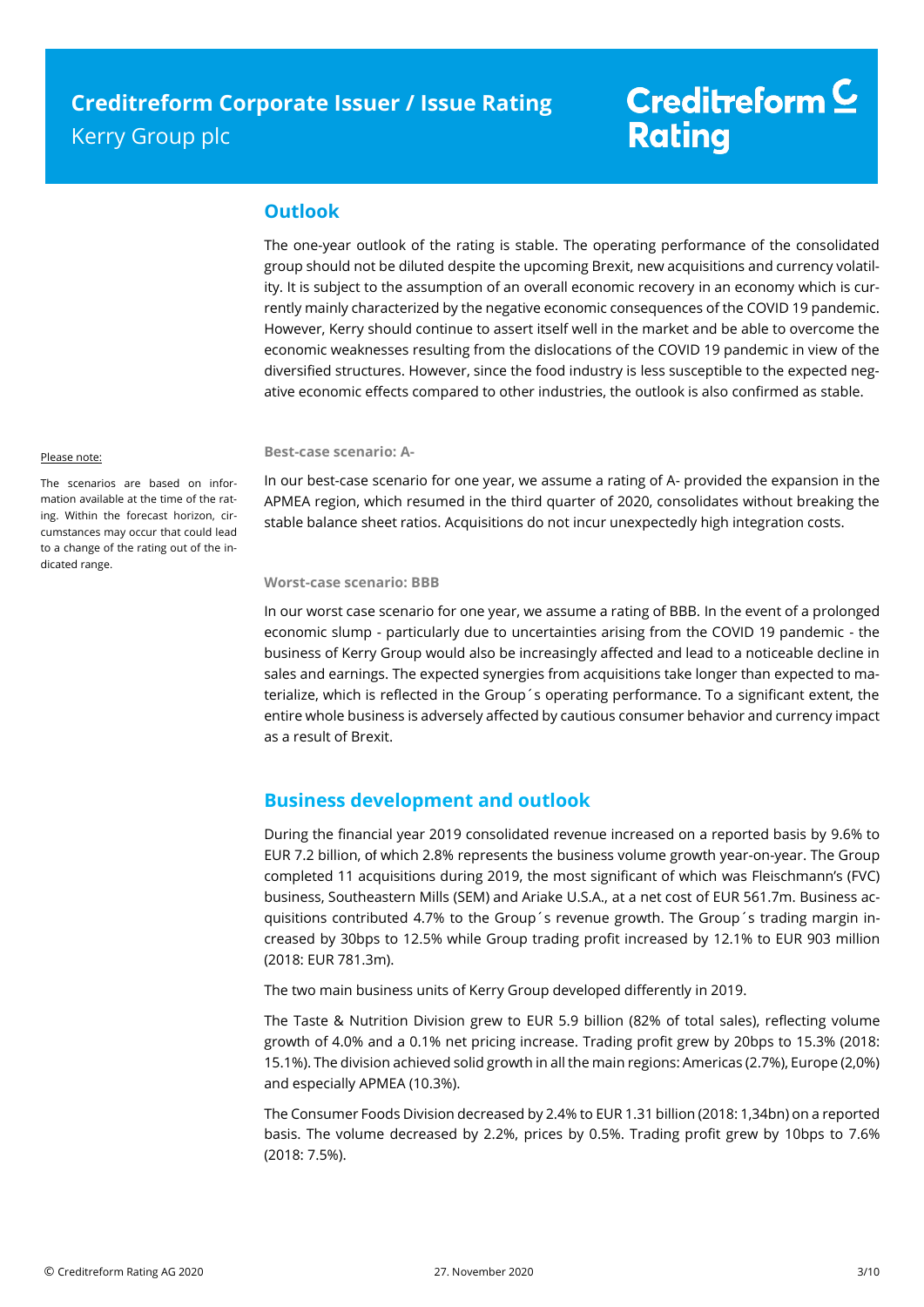### **Outlook**

The one-year outlook of the rating is stable. The operating performance of the consolidated group should not be diluted despite the upcoming Brexit, new acquisitions and currency volatility. It is subject to the assumption of an overall economic recovery in an economy which is currently mainly characterized by the negative economic consequences of the COVID 19 pandemic. However, Kerry should continue to assert itself well in the market and be able to overcome the economic weaknesses resulting from the dislocations of the COVID 19 pandemic in view of the diversified structures. However, since the food industry is less susceptible to the expected negative economic effects compared to other industries, the outlook is also confirmed as stable.

#### Please note:

The scenarios are based on information available at the time of the rating. Within the forecast horizon, circumstances may occur that could lead to a change of the rating out of the indicated range.

#### **Best-case scenario: A-**

In our best-case scenario for one year, we assume a rating of A- provided the expansion in the APMEA region, which resumed in the third quarter of 2020, consolidates without breaking the stable balance sheet ratios. Acquisitions do not incur unexpectedly high integration costs.

#### **Worst-case scenario: BBB**

In our worst case scenario for one year, we assume a rating of BBB. In the event of a prolonged economic slump - particularly due to uncertainties arising from the COVID 19 pandemic - the business of Kerry Group would also be increasingly affected and lead to a noticeable decline in sales and earnings. The expected synergies from acquisitions take longer than expected to materialize, which is reflected in the Group´s operating performance. To a significant extent, the entire whole business is adversely affected by cautious consumer behavior and currency impact as a result of Brexit.

### **Business development and outlook**

During the financial year 2019 consolidated revenue increased on a reported basis by 9.6% to EUR 7.2 billion, of which 2.8% represents the business volume growth year-on-year. The Group completed 11 acquisitions during 2019, the most significant of which was Fleischmann's (FVC) business, Southeastern Mills (SEM) and Ariake U.S.A., at a net cost of EUR 561.7m. Business acquisitions contributed 4.7% to the Group´s revenue growth. The Group´s trading margin increased by 30bps to 12.5% while Group trading profit increased by 12.1% to EUR 903 million (2018: EUR 781.3m).

The two main business units of Kerry Group developed differently in 2019.

The Taste & Nutrition Division grew to EUR 5.9 billion (82% of total sales), reflecting volume growth of 4.0% and a 0.1% net pricing increase. Trading profit grew by 20bps to 15.3% (2018: 15.1%). The division achieved solid growth in all the main regions: Americas (2.7%), Europe (2,0%) and especially APMEA (10.3%).

The Consumer Foods Division decreased by 2.4% to EUR 1.31 billion (2018: 1,34bn) on a reported basis. The volume decreased by 2.2%, prices by 0.5%. Trading profit grew by 10bps to 7.6% (2018: 7.5%).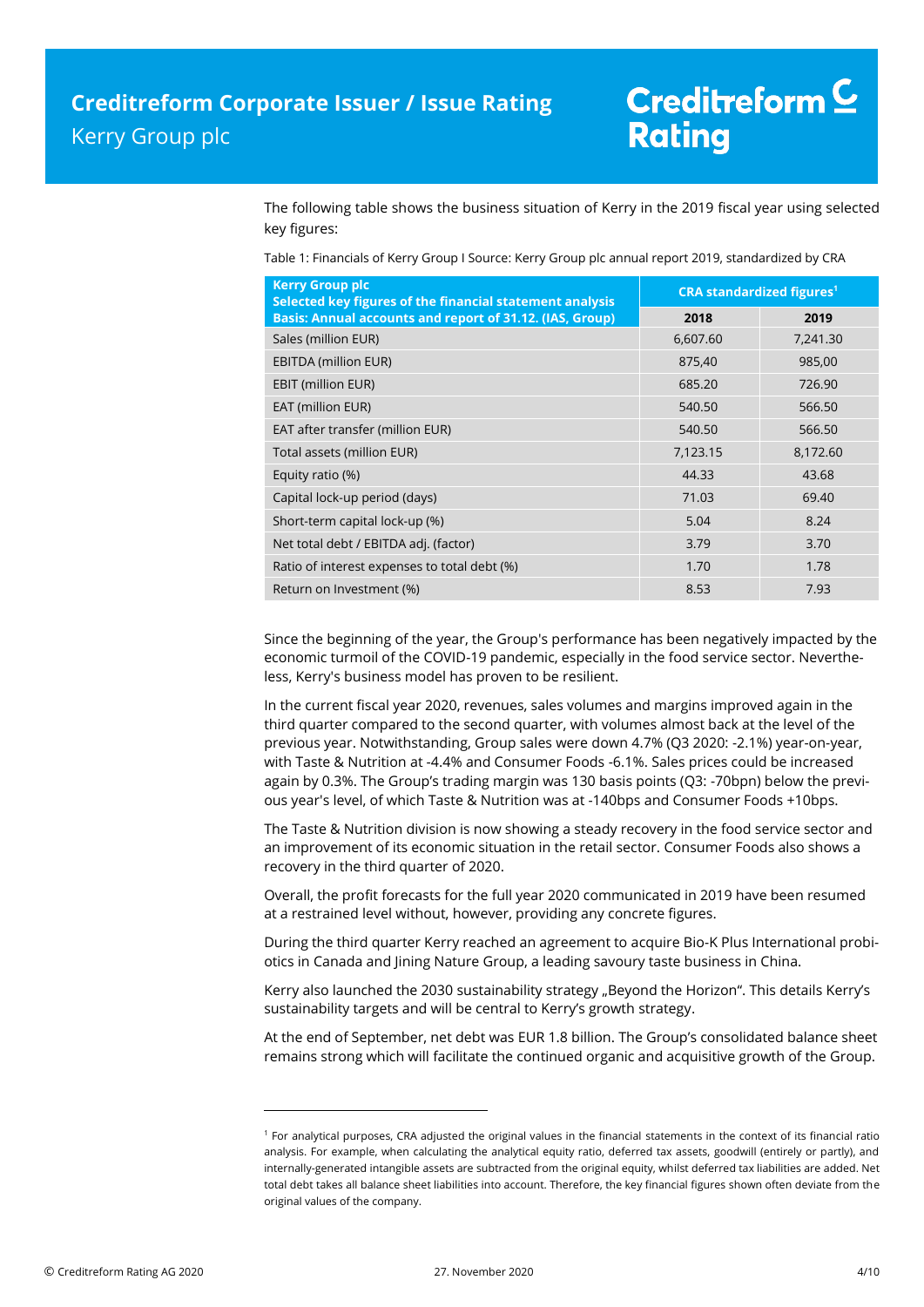The following table shows the business situation of Kerry in the 2019 fiscal year using selected key figures:

Table 1: Financials of Kerry Group I Source: Kerry Group plc annual report 2019, standardized by CRA

| <b>Kerry Group plc</b><br>Selected key figures of the financial statement analysis | <b>CRA standardized figures<sup>1</sup></b> |          |  |
|------------------------------------------------------------------------------------|---------------------------------------------|----------|--|
| <b>Basis: Annual accounts and report of 31.12. (IAS, Group)</b>                    | 2018                                        | 2019     |  |
| Sales (million EUR)                                                                | 6,607.60                                    | 7,241.30 |  |
| <b>EBITDA (million EUR)</b>                                                        | 875,40                                      | 985,00   |  |
| <b>EBIT (million EUR)</b>                                                          | 685.20                                      | 726.90   |  |
| EAT (million EUR)                                                                  | 540.50                                      | 566.50   |  |
| EAT after transfer (million EUR)                                                   | 540.50                                      | 566.50   |  |
| Total assets (million EUR)                                                         | 7,123.15                                    | 8,172.60 |  |
| Equity ratio (%)                                                                   | 44.33                                       | 43.68    |  |
| Capital lock-up period (days)                                                      | 71.03                                       | 69.40    |  |
| Short-term capital lock-up (%)                                                     | 5.04                                        | 8.24     |  |
| Net total debt / EBITDA adj. (factor)                                              | 3.79                                        | 3.70     |  |
| Ratio of interest expenses to total debt (%)                                       | 1.70                                        | 1.78     |  |
| Return on Investment (%)                                                           | 8.53                                        | 7.93     |  |

Since the beginning of the year, the Group's performance has been negatively impacted by the economic turmoil of the COVID-19 pandemic, especially in the food service sector. Nevertheless, Kerry's business model has proven to be resilient.

In the current fiscal year 2020, revenues, sales volumes and margins improved again in the third quarter compared to the second quarter, with volumes almost back at the level of the previous year. Notwithstanding, Group sales were down 4.7% (Q3 2020: -2.1%) year-on-year, with Taste & Nutrition at -4.4% and Consumer Foods -6.1%. Sales prices could be increased again by 0.3%. The Group's trading margin was 130 basis points (Q3: -70bpn) below the previous year's level, of which Taste & Nutrition was at -140bps and Consumer Foods +10bps.

The Taste & Nutrition division is now showing a steady recovery in the food service sector and an improvement of its economic situation in the retail sector. Consumer Foods also shows a recovery in the third quarter of 2020.

Overall, the profit forecasts for the full year 2020 communicated in 2019 have been resumed at a restrained level without, however, providing any concrete figures.

During the third quarter Kerry reached an agreement to acquire Bio-K Plus International probiotics in Canada and Jining Nature Group, a leading savoury taste business in China.

Kerry also launched the 2030 sustainability strategy "Beyond the Horizon". This details Kerry's sustainability targets and will be central to Kerry's growth strategy.

At the end of September, net debt was EUR 1.8 billion. The Group's consolidated balance sheet remains strong which will facilitate the continued organic and acquisitive growth of the Group.

 $\overline{a}$ 

<sup>1</sup> For analytical purposes, CRA adjusted the original values in the financial statements in the context of its financial ratio analysis. For example, when calculating the analytical equity ratio, deferred tax assets, goodwill (entirely or partly), and internally-generated intangible assets are subtracted from the original equity, whilst deferred tax liabilities are added. Net total debt takes all balance sheet liabilities into account. Therefore, the key financial figures shown often deviate from the original values of the company.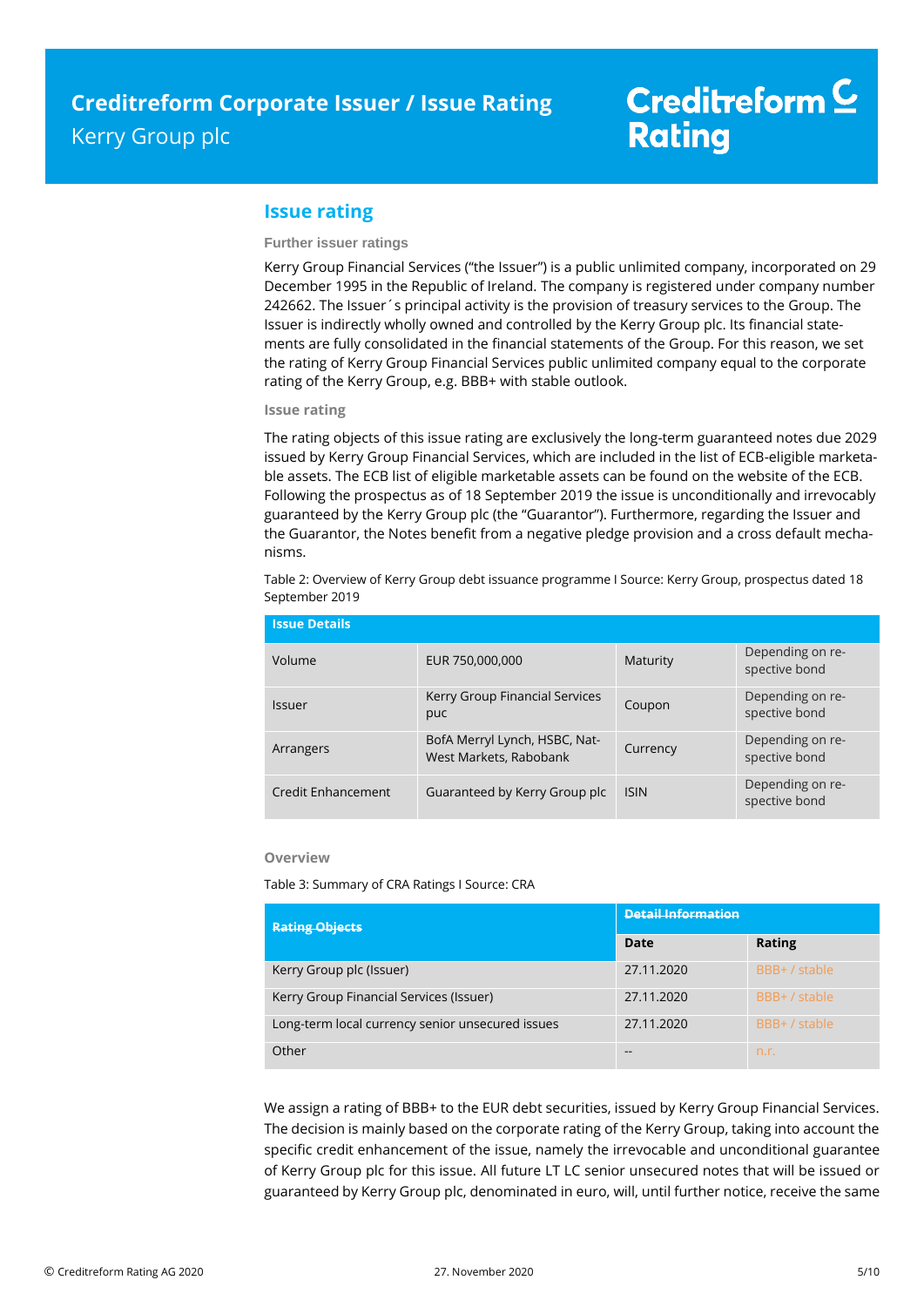# Creditreform<sup>C</sup> **Rating**

### **Issue rating**

#### **Further issuer ratings**

Kerry Group Financial Services ("the Issuer") is a public unlimited company, incorporated on 29 December 1995 in the Republic of Ireland. The company is registered under company number 242662. The Issuer´s principal activity is the provision of treasury services to the Group. The Issuer is indirectly wholly owned and controlled by the Kerry Group plc. Its financial statements are fully consolidated in the financial statements of the Group. For this reason, we set the rating of Kerry Group Financial Services public unlimited company equal to the corporate rating of the Kerry Group, e.g. BBB+ with stable outlook.

#### **Issue rating**

The rating objects of this issue rating are exclusively the long-term guaranteed notes due 2029 issued by Kerry Group Financial Services, which are included in the list of ECB-eligible marketable assets. The ECB list of eligible marketable assets can be found on the website of the ECB. Following the prospectus as of 18 September 2019 the issue is unconditionally and irrevocably guaranteed by the Kerry Group plc (the "Guarantor"). Furthermore, regarding the Issuer and the Guarantor, the Notes benefit from a negative pledge provision and a cross default mechanisms.

Table 2: Overview of Kerry Group debt issuance programme I Source: Kerry Group, prospectus dated 18 September 2019

| <b>Issue Details</b>      |                                                         |             |                                   |  |  |
|---------------------------|---------------------------------------------------------|-------------|-----------------------------------|--|--|
| Volume                    | EUR 750,000,000                                         | Maturity    | Depending on re-<br>spective bond |  |  |
| Issuer                    | Kerry Group Financial Services<br>puc                   | Coupon      | Depending on re-<br>spective bond |  |  |
| Arrangers                 | BofA Merryl Lynch, HSBC, Nat-<br>West Markets, Rabobank | Currency    | Depending on re-<br>spective bond |  |  |
| <b>Credit Enhancement</b> | Guaranteed by Kerry Group plc                           | <b>ISIN</b> | Depending on re-<br>spective bond |  |  |

#### **Overview**

Table 3: Summary of CRA Ratings I Source: CRA

| <b>Rating Objects</b>                            | <b>Detail Information</b> |               |  |
|--------------------------------------------------|---------------------------|---------------|--|
|                                                  | Date                      | <b>Rating</b> |  |
| Kerry Group plc (Issuer)                         | 27.11.2020                | BBB+/stable   |  |
| Kerry Group Financial Services (Issuer)          | 27.11.2020                | BBB+ / stable |  |
| Long-term local currency senior unsecured issues | 27.11.2020                | BBB+/stable   |  |
| Other                                            | --                        | n.r.          |  |

We assign a rating of BBB+ to the EUR debt securities, issued by Kerry Group Financial Services. The decision is mainly based on the corporate rating of the Kerry Group, taking into account the specific credit enhancement of the issue, namely the irrevocable and unconditional guarantee of Kerry Group plc for this issue. All future LT LC senior unsecured notes that will be issued or guaranteed by Kerry Group plc, denominated in euro, will, until further notice, receive the same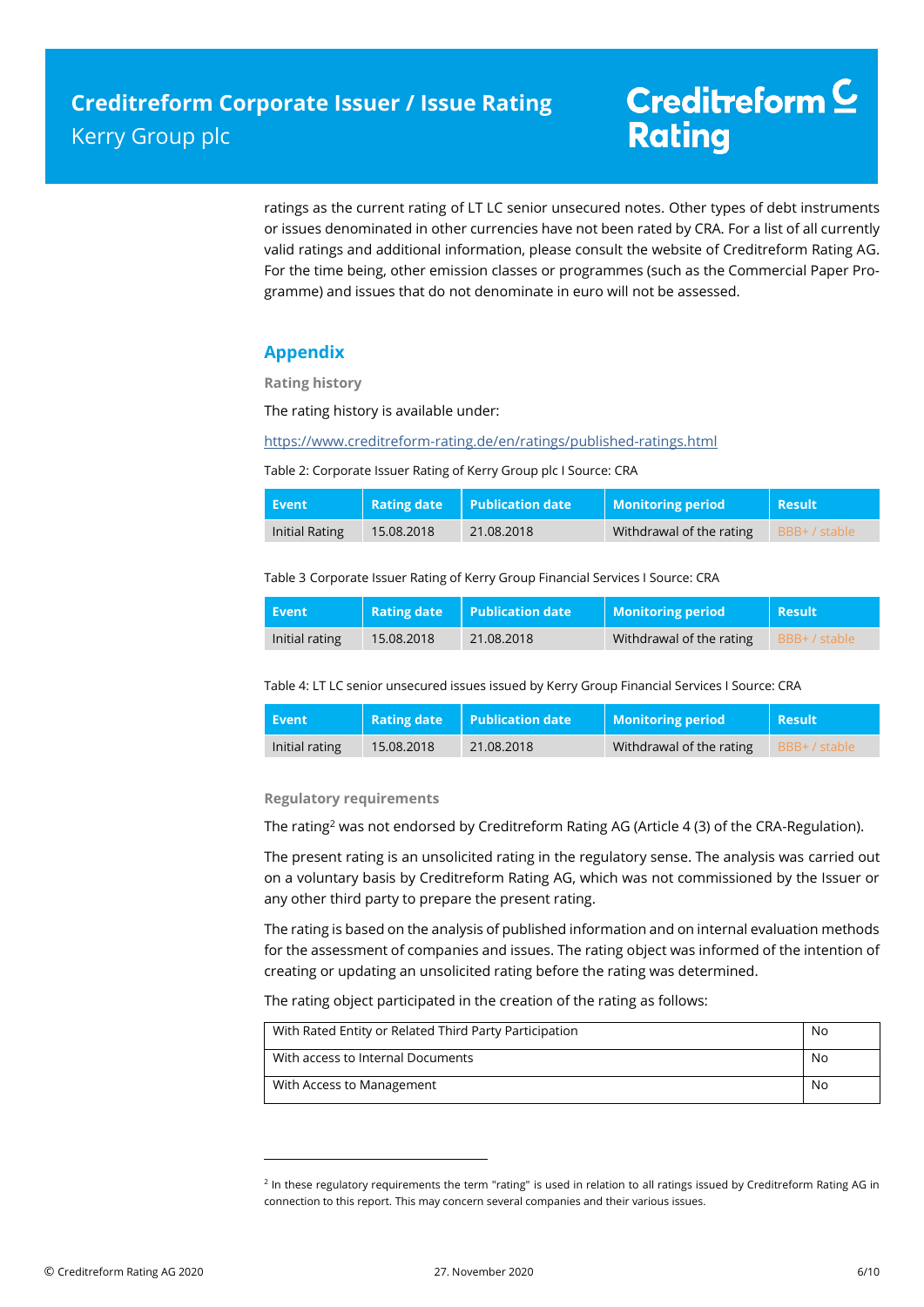ratings as the current rating of LT LC senior unsecured notes. Other types of debt instruments or issues denominated in other currencies have not been rated by CRA. For a list of all currently valid ratings and additional information, please consult the website of Creditreform Rating AG. For the time being, other emission classes or programmes (such as the Commercial Paper Programme) and issues that do not denominate in euro will not be assessed.

## **Appendix**

**Rating history**

The rating history is available under:

<https://www.creditreform-rating.de/en/ratings/published-ratings.html>

Table 2: Corporate Issuer Rating of Kerry Group plc I Source: CRA

| <b>، Event</b> | <b>Rating date</b> | <b>Publication date</b> | Monitoring period        | <b>Result</b> |
|----------------|--------------------|-------------------------|--------------------------|---------------|
| Initial Rating | 15.08.2018         | 21.08.2018              | Withdrawal of the rating | BBB+ / stable |

Table 3 Corporate Issuer Rating of Kerry Group Financial Services I Source: CRA

| l Event        | <b>Rating date</b> | <b>Publication date</b> | <b>Monitoring period</b> | Result        |
|----------------|--------------------|-------------------------|--------------------------|---------------|
| Initial rating | 15.08.2018         | 21.08.2018              | Withdrawal of the rating | BBB+ / stable |

Table 4: LT LC senior unsecured issues issued by Kerry Group Financial Services I Source: CRA

| Event          | <b>Rating date</b> | <b>Publication date</b> | <b>Monitoring period</b> | Result        |
|----------------|--------------------|-------------------------|--------------------------|---------------|
| Initial rating | 15.08.2018         | 21.08.2018              | Withdrawal of the rating | BBB+ / stable |

**Regulatory requirements**

 $\overline{a}$ 

The rating<sup>2</sup> was not endorsed by Creditreform Rating AG (Article 4 (3) of the CRA-Regulation).

The present rating is an unsolicited rating in the regulatory sense. The analysis was carried out on a voluntary basis by Creditreform Rating AG, which was not commissioned by the Issuer or any other third party to prepare the present rating.

The rating is based on the analysis of published information and on internal evaluation methods for the assessment of companies and issues. The rating object was informed of the intention of creating or updating an unsolicited rating before the rating was determined.

The rating object participated in the creation of the rating as follows:

| With Rated Entity or Related Third Party Participation | No. |
|--------------------------------------------------------|-----|
| With access to Internal Documents                      | No. |
| With Access to Management                              | No  |

<sup>&</sup>lt;sup>2</sup> In these regulatory requirements the term "rating" is used in relation to all ratings issued by Creditreform Rating AG in connection to this report. This may concern several companies and their various issues.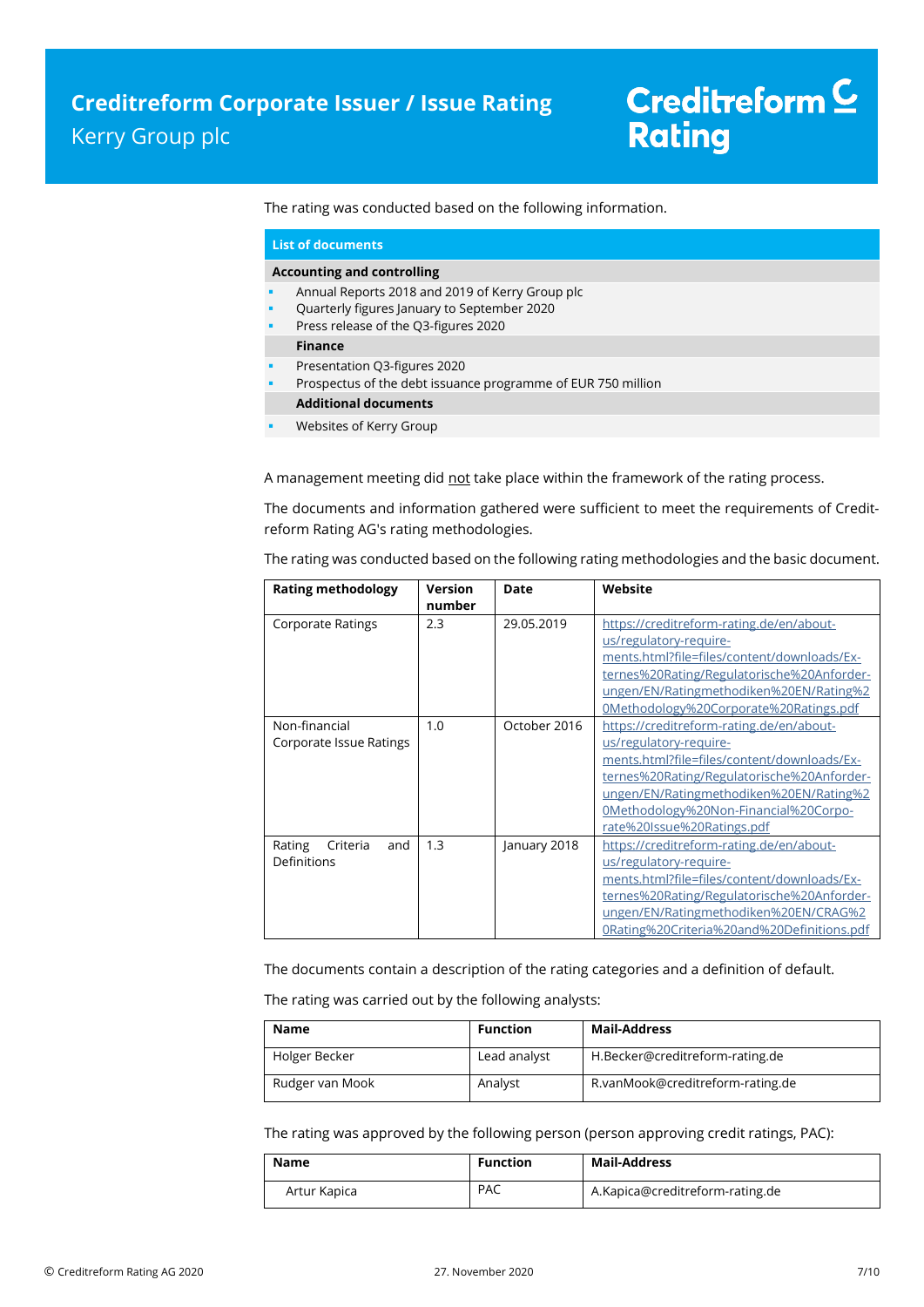The rating was conducted based on the following information.

|        | <b>List of documents</b>                                                                                                               |
|--------|----------------------------------------------------------------------------------------------------------------------------------------|
|        | <b>Accounting and controlling</b>                                                                                                      |
| ٠<br>٠ | Annual Reports 2018 and 2019 of Kerry Group plc<br>Quarterly figures January to September 2020<br>Press release of the Q3-figures 2020 |
|        | <b>Finance</b>                                                                                                                         |
|        | Presentation Q3-figures 2020<br>Prospectus of the debt issuance programme of EUR 750 million                                           |
|        | <b>Additional documents</b>                                                                                                            |
|        | Websites of Kerry Group                                                                                                                |

A management meeting did not take place within the framework of the rating process.

The documents and information gathered were sufficient to meet the requirements of Creditreform Rating AG's rating methodologies.

The rating was conducted based on the following rating methodologies and the basic document.

| <b>Rating methodology</b>                | <b>Version</b><br>number | <b>Date</b>  | Website                                                                                                                                                                                                                                                                           |
|------------------------------------------|--------------------------|--------------|-----------------------------------------------------------------------------------------------------------------------------------------------------------------------------------------------------------------------------------------------------------------------------------|
| <b>Corporate Ratings</b>                 | 2.3                      | 29.05.2019   | https://creditreform-rating.de/en/about-<br>us/regulatory-require-<br>ments.html?file=files/content/downloads/Ex-<br>ternes%20Rating/Regulatorische%20Anforder-<br>ungen/EN/Ratingmethodiken%20EN/Rating%2<br>0Methodology%20Corporate%20Ratings.pdf                              |
| Non-financial<br>Corporate Issue Ratings | 1.0                      | October 2016 | https://creditreform-rating.de/en/about-<br>us/regulatory-require-<br>ments.html?file=files/content/downloads/Ex-<br>ternes%20Rating/Regulatorische%20Anforder-<br>ungen/EN/Ratingmethodiken%20EN/Rating%2<br>0Methodology%20Non-Financial%20Corpo-<br>rate%20Issue%20Ratings.pdf |
| Rating<br>Criteria<br>and<br>Definitions | 1.3                      | January 2018 | https://creditreform-rating.de/en/about-<br>us/regulatory-require-<br>ments.html?file=files/content/downloads/Ex-<br>ternes%20Rating/Regulatorische%20Anforder-<br>ungen/EN/Ratingmethodiken%20EN/CRAG%2<br>0Rating%20Criteria%20and%20Definitions.pdf                            |

The documents contain a description of the rating categories and a definition of default.

The rating was carried out by the following analysts:

| <b>Name</b>     | <b>Function</b> | Mail-Address                     |
|-----------------|-----------------|----------------------------------|
| Holger Becker   | Lead analyst    | H.Becker@creditreform-rating.de  |
| Rudger van Mook | Analyst         | R.vanMook@creditreform-rating.de |

The rating was approved by the following person (person approving credit ratings, PAC):

| Name         | <b>Function</b> | Mail-Address                    |
|--------------|-----------------|---------------------------------|
| Artur Kapica | <b>PAC</b>      | A.Kapica@creditreform-rating.de |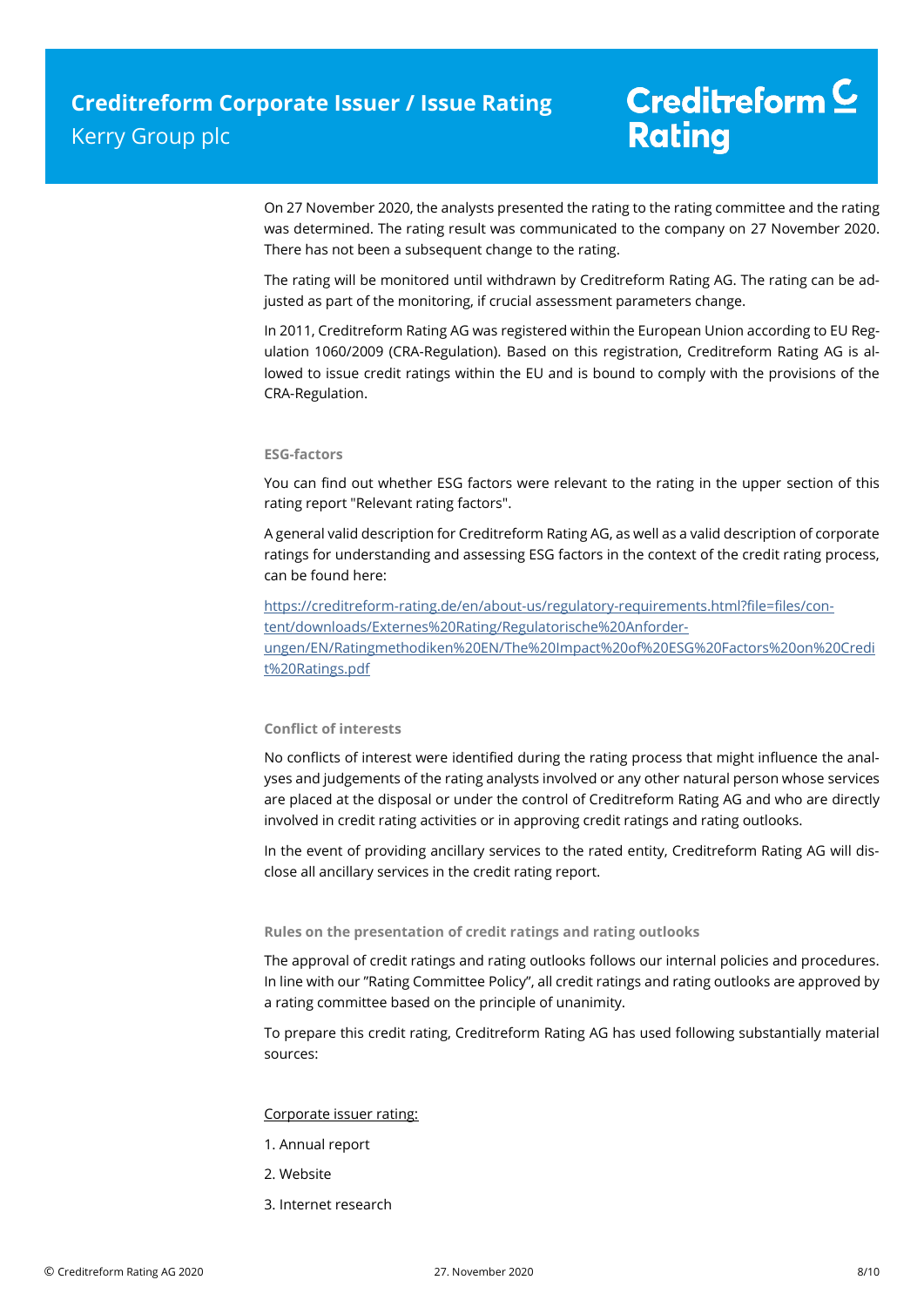On 27 November 2020, the analysts presented the rating to the rating committee and the rating was determined. The rating result was communicated to the company on 27 November 2020. There has not been a subsequent change to the rating.

The rating will be monitored until withdrawn by Creditreform Rating AG. The rating can be adjusted as part of the monitoring, if crucial assessment parameters change.

In 2011, Creditreform Rating AG was registered within the European Union according to EU Regulation 1060/2009 (CRA-Regulation). Based on this registration, Creditreform Rating AG is allowed to issue credit ratings within the EU and is bound to comply with the provisions of the CRA-Regulation.

### **ESG-factors**

You can find out whether ESG factors were relevant to the rating in the upper section of this rating report "Relevant rating factors".

A general valid description for Creditreform Rating AG, as well as a valid description of corporate ratings for understanding and assessing ESG factors in the context of the credit rating process, can be found here:

https://creditreform-rating.de/en/about-us/regulatory-requirements.html?file=files/content/downloads/Externes%20Rating/Regulatorische%20Anforderungen/EN/Ratingmethodiken%20EN/The%20Impact%20of%20ESG%20Factors%20on%20Credi t%20Ratings.pdf

### **Conflict of interests**

No conflicts of interest were identified during the rating process that might influence the analyses and judgements of the rating analysts involved or any other natural person whose services are placed at the disposal or under the control of Creditreform Rating AG and who are directly involved in credit rating activities or in approving credit ratings and rating outlooks.

In the event of providing ancillary services to the rated entity, Creditreform Rating AG will disclose all ancillary services in the credit rating report.

#### **Rules on the presentation of credit ratings and rating outlooks**

The approval of credit ratings and rating outlooks follows our internal policies and procedures. In line with our "Rating Committee Policy", all credit ratings and rating outlooks are approved by a rating committee based on the principle of unanimity.

To prepare this credit rating, Creditreform Rating AG has used following substantially material sources:

#### Corporate issuer rating:

- 1. Annual report
- 2. Website
- 3. Internet research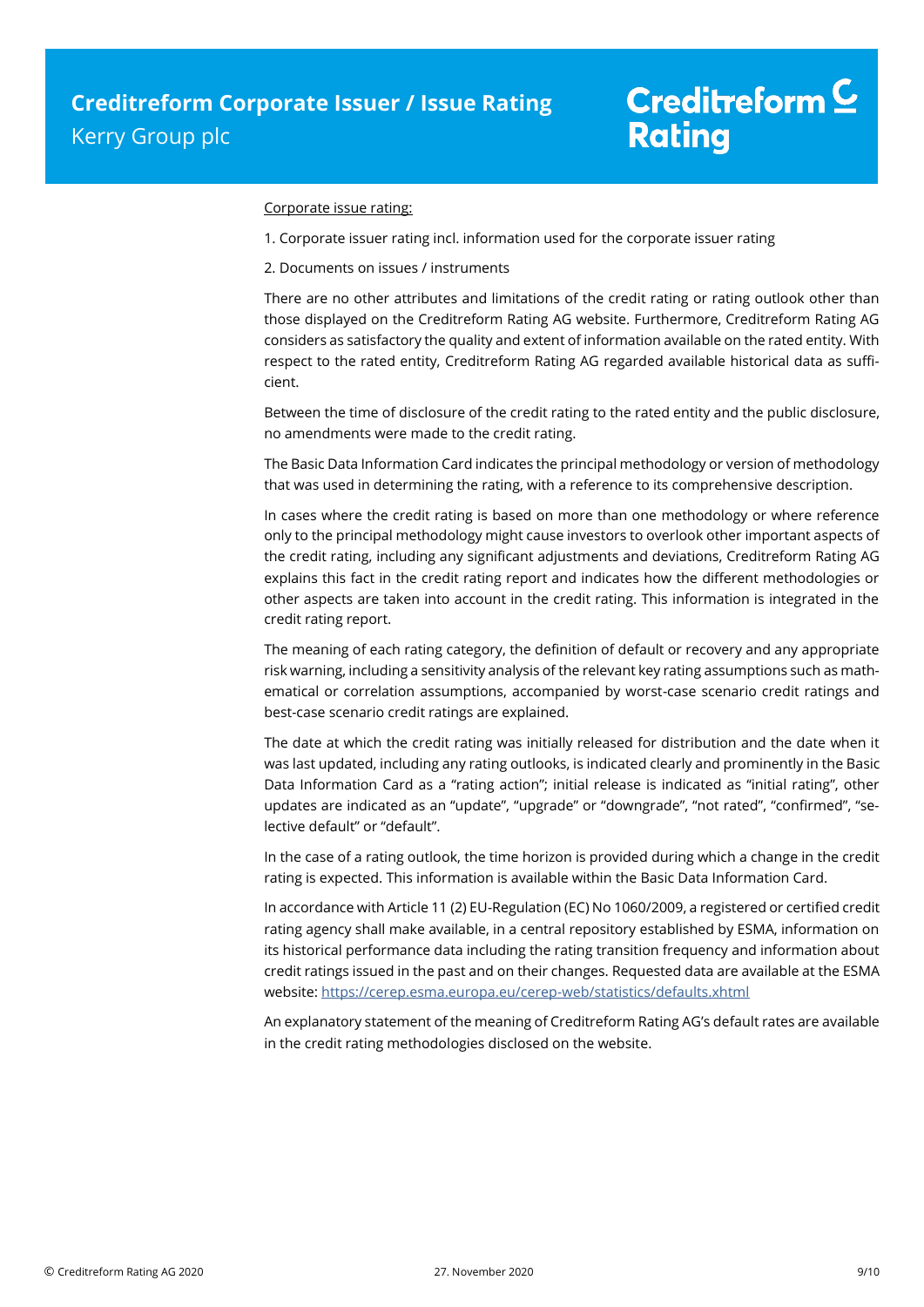#### Corporate issue rating:

- 1. Corporate issuer rating incl. information used for the corporate issuer rating
- 2. Documents on issues / instruments

There are no other attributes and limitations of the credit rating or rating outlook other than those displayed on the Creditreform Rating AG website. Furthermore, Creditreform Rating AG considers as satisfactory the quality and extent of information available on the rated entity. With respect to the rated entity, Creditreform Rating AG regarded available historical data as sufficient.

Between the time of disclosure of the credit rating to the rated entity and the public disclosure, no amendments were made to the credit rating.

The Basic Data Information Card indicates the principal methodology or version of methodology that was used in determining the rating, with a reference to its comprehensive description.

In cases where the credit rating is based on more than one methodology or where reference only to the principal methodology might cause investors to overlook other important aspects of the credit rating, including any significant adjustments and deviations, Creditreform Rating AG explains this fact in the credit rating report and indicates how the different methodologies or other aspects are taken into account in the credit rating. This information is integrated in the credit rating report.

The meaning of each rating category, the definition of default or recovery and any appropriate risk warning, including a sensitivity analysis of the relevant key rating assumptions such as mathematical or correlation assumptions, accompanied by worst-case scenario credit ratings and best-case scenario credit ratings are explained.

The date at which the credit rating was initially released for distribution and the date when it was last updated, including any rating outlooks, is indicated clearly and prominently in the Basic Data Information Card as a "rating action"; initial release is indicated as "initial rating", other updates are indicated as an "update", "upgrade" or "downgrade", "not rated", "confirmed", "selective default" or "default".

In the case of a rating outlook, the time horizon is provided during which a change in the credit rating is expected. This information is available within the Basic Data Information Card.

In accordance with Article 11 (2) EU-Regulation (EC) No 1060/2009, a registered or certified credit rating agency shall make available, in a central repository established by ESMA, information on its historical performance data including the rating transition frequency and information about credit ratings issued in the past and on their changes. Requested data are available at the ESMA website: https://cerep.esma.europa.eu/cerep-web/statistics/defaults.xhtml

An explanatory statement of the meaning of Creditreform Rating AG's default rates are available in the credit rating methodologies disclosed on the website.